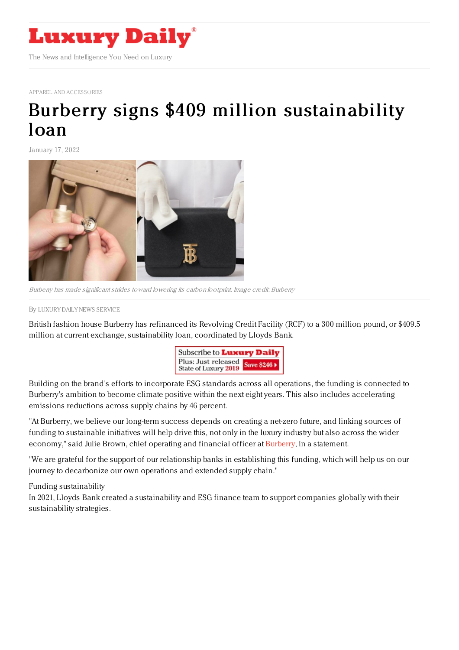

APPAREL AND [ACCESSORIES](https://www.luxurydaily.com/category/sectors/apparel-and-accessories/)

## Burberry signs \$409 million [sustainability](https://www.luxurydaily.com/burberry-signs-409-million-sustainability-loan/) loan

January 17, 2022



Burberry has made significant strides toward lowering its carbon footprint. Image credit: Burberry

By LUXURY DAILY NEWS [SERVICE](file:///author/luxury-daily-news-service)

British fashion house Burberry has refinanced its Revolving Credit Facility (RCF) to a 300 million pound, or \$409.5 million at current exchange, sustainability loan, coordinated by Lloyds Bank.



Building on the brand's efforts to incorporate ESG standards across all operations, the funding is connected to Burberry's ambition to become climate positive within the next eight years. This also includes accelerating emissions reductions across supply chains by 46 percent.

"At Burberry, we believe our long-term success depends on creating a net-zero future, and linking sources of funding to sustainable initiatives will help drive this, not only in the luxury industry but also across the wider economy," said Julie Brown, chief operating and financial officer at [Burberry](https://www.burberryplc.com/en/index.html), in a statement.

"We are grateful for the support of our relationship banks in establishing this funding, which will help us on our journey to decarbonize our own operations and extended supply chain."

Funding sustainability

In 2021, Lloyds Bank created a sustainability and ESG finance team to support companies globally with their sustainability strategies.